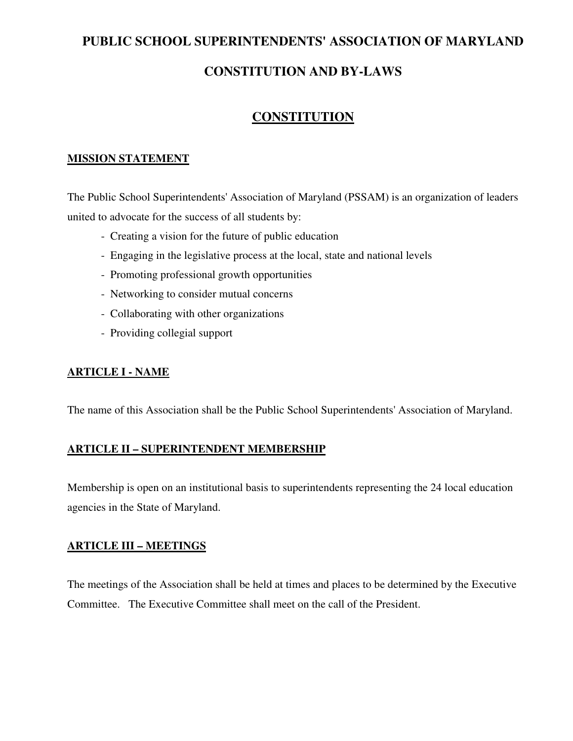# **PUBLIC SCHOOL SUPERINTENDENTS' ASSOCIATION OF MARYLAND**

# **CONSTITUTION AND BY-LAWS**

# **CONSTITUTION**

### **MISSION STATEMENT**

The Public School Superintendents' Association of Maryland (PSSAM) is an organization of leaders united to advocate for the success of all students by:

- Creating a vision for the future of public education
- Engaging in the legislative process at the local, state and national levels
- Promoting professional growth opportunities
- Networking to consider mutual concerns
- Collaborating with other organizations
- Providing collegial support

#### **ARTICLE I - NAME**

The name of this Association shall be the Public School Superintendents' Association of Maryland.

#### **ARTICLE II – SUPERINTENDENT MEMBERSHIP**

Membership is open on an institutional basis to superintendents representing the 24 local education agencies in the State of Maryland.

#### **ARTICLE III – MEETINGS**

The meetings of the Association shall be held at times and places to be determined by the Executive Committee. The Executive Committee shall meet on the call of the President.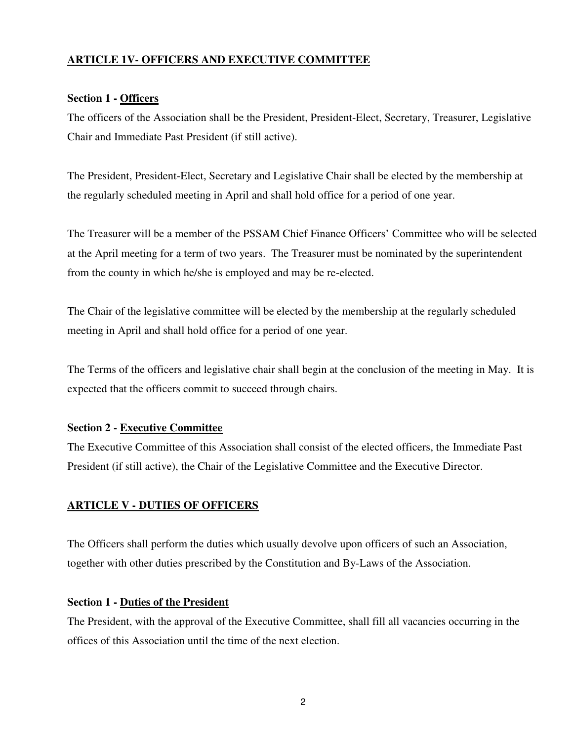## **ARTICLE 1V- OFFICERS AND EXECUTIVE COMMITTEE**

### **Section 1 - Officers**

The officers of the Association shall be the President, President-Elect, Secretary, Treasurer, Legislative Chair and Immediate Past President (if still active).

The President, President-Elect, Secretary and Legislative Chair shall be elected by the membership at the regularly scheduled meeting in April and shall hold office for a period of one year.

The Treasurer will be a member of the PSSAM Chief Finance Officers' Committee who will be selected at the April meeting for a term of two years. The Treasurer must be nominated by the superintendent from the county in which he/she is employed and may be re-elected.

The Chair of the legislative committee will be elected by the membership at the regularly scheduled meeting in April and shall hold office for a period of one year.

The Terms of the officers and legislative chair shall begin at the conclusion of the meeting in May. It is expected that the officers commit to succeed through chairs.

#### **Section 2 - Executive Committee**

The Executive Committee of this Association shall consist of the elected officers, the Immediate Past President (if still active), the Chair of the Legislative Committee and the Executive Director.

## **ARTICLE V - DUTIES OF OFFICERS**

The Officers shall perform the duties which usually devolve upon officers of such an Association, together with other duties prescribed by the Constitution and By-Laws of the Association.

#### **Section 1 - Duties of the President**

The President, with the approval of the Executive Committee, shall fill all vacancies occurring in the offices of this Association until the time of the next election.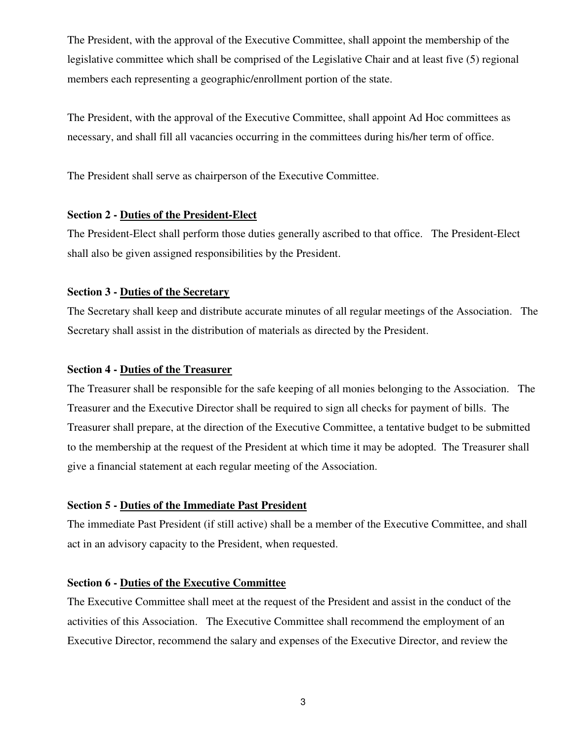The President, with the approval of the Executive Committee, shall appoint the membership of the legislative committee which shall be comprised of the Legislative Chair and at least five (5) regional members each representing a geographic/enrollment portion of the state.

The President, with the approval of the Executive Committee, shall appoint Ad Hoc committees as necessary, and shall fill all vacancies occurring in the committees during his/her term of office.

The President shall serve as chairperson of the Executive Committee.

#### **Section 2 - Duties of the President-Elect**

The President-Elect shall perform those duties generally ascribed to that office. The President-Elect shall also be given assigned responsibilities by the President.

#### **Section 3 - Duties of the Secretary**

The Secretary shall keep and distribute accurate minutes of all regular meetings of the Association. The Secretary shall assist in the distribution of materials as directed by the President.

#### **Section 4 - Duties of the Treasurer**

The Treasurer shall be responsible for the safe keeping of all monies belonging to the Association. The Treasurer and the Executive Director shall be required to sign all checks for payment of bills. The Treasurer shall prepare, at the direction of the Executive Committee, a tentative budget to be submitted to the membership at the request of the President at which time it may be adopted. The Treasurer shall give a financial statement at each regular meeting of the Association.

#### **Section 5 - Duties of the Immediate Past President**

The immediate Past President (if still active) shall be a member of the Executive Committee, and shall act in an advisory capacity to the President, when requested.

#### **Section 6 - Duties of the Executive Committee**

The Executive Committee shall meet at the request of the President and assist in the conduct of the activities of this Association. The Executive Committee shall recommend the employment of an Executive Director, recommend the salary and expenses of the Executive Director, and review the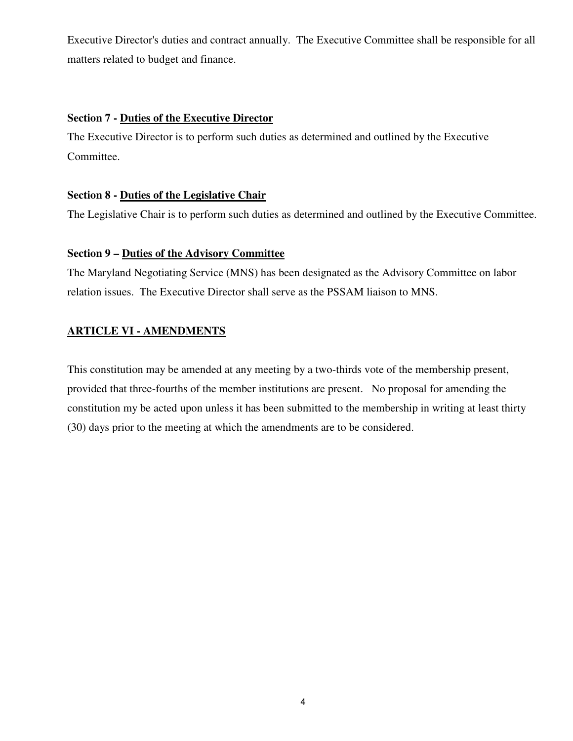Executive Director's duties and contract annually. The Executive Committee shall be responsible for all matters related to budget and finance.

### **Section 7 - Duties of the Executive Director**

The Executive Director is to perform such duties as determined and outlined by the Executive Committee.

#### **Section 8 - Duties of the Legislative Chair**

The Legislative Chair is to perform such duties as determined and outlined by the Executive Committee.

#### **Section 9 – Duties of the Advisory Committee**

The Maryland Negotiating Service (MNS) has been designated as the Advisory Committee on labor relation issues. The Executive Director shall serve as the PSSAM liaison to MNS.

## **ARTICLE VI - AMENDMENTS**

This constitution may be amended at any meeting by a two-thirds vote of the membership present, provided that three-fourths of the member institutions are present. No proposal for amending the constitution my be acted upon unless it has been submitted to the membership in writing at least thirty (30) days prior to the meeting at which the amendments are to be considered.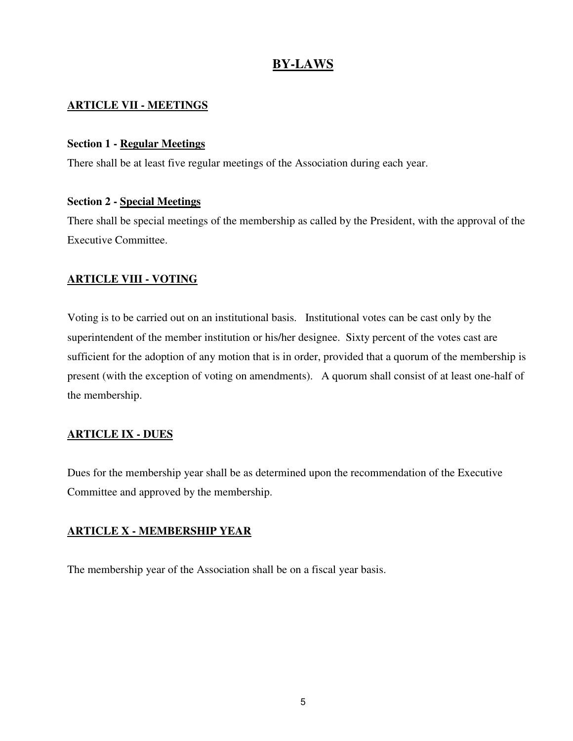# **BY-LAWS**

### **ARTICLE VII - MEETINGS**

#### **Section 1 - Regular Meetings**

There shall be at least five regular meetings of the Association during each year.

#### **Section 2 - Special Meetings**

There shall be special meetings of the membership as called by the President, with the approval of the Executive Committee.

#### **ARTICLE VIII - VOTING**

Voting is to be carried out on an institutional basis. Institutional votes can be cast only by the superintendent of the member institution or his/her designee. Sixty percent of the votes cast are sufficient for the adoption of any motion that is in order, provided that a quorum of the membership is present (with the exception of voting on amendments). A quorum shall consist of at least one-half of the membership.

#### **ARTICLE IX - DUES**

Dues for the membership year shall be as determined upon the recommendation of the Executive Committee and approved by the membership.

#### **ARTICLE X - MEMBERSHIP YEAR**

The membership year of the Association shall be on a fiscal year basis.